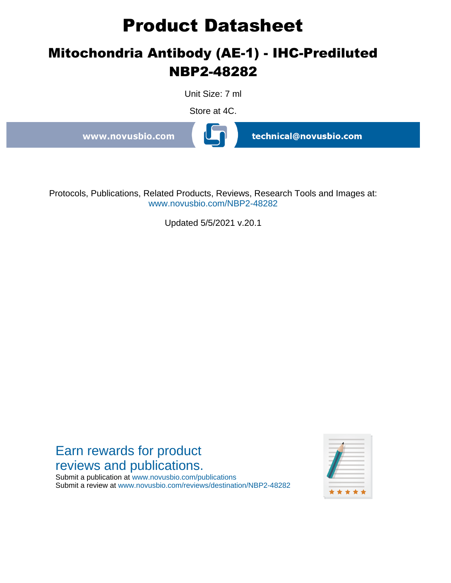# **Product Datasheet**

## **Mitochondria Antibody (AE-1) - IHC-Prediluted NBP2-48282**

Unit Size: 7 ml

Store at 4C.

www.novusbio.com

technical@novusbio.com

Protocols, Publications, Related Products, Reviews, Research Tools and Images at: www.novusbio.com/NBP2-48282

Updated 5/5/2021 v.20.1

### Earn rewards for product reviews and publications.

Submit a publication at www.novusbio.com/publications Submit a review at www.novusbio.com/reviews/destination/NBP2-48282

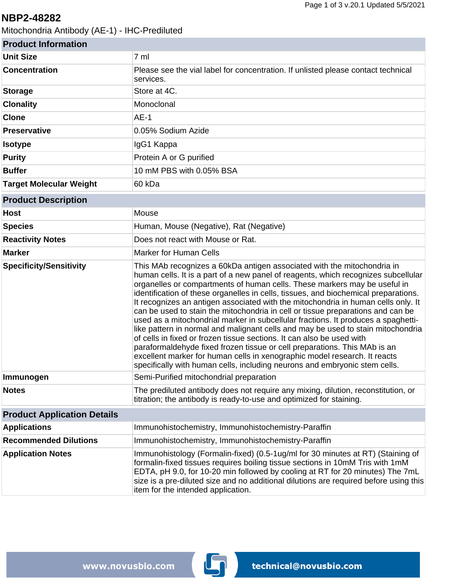#### **NBP2-48282**

Mitochondria Antibody (AE-1) - IHC-Prediluted

| <b>Product Information</b>         |                                                                                                                                                                                                                                                                                                                                                                                                                                                                                                                                                                                                                                                                                                                                                                                                                                                                                                                                                                                                     |
|------------------------------------|-----------------------------------------------------------------------------------------------------------------------------------------------------------------------------------------------------------------------------------------------------------------------------------------------------------------------------------------------------------------------------------------------------------------------------------------------------------------------------------------------------------------------------------------------------------------------------------------------------------------------------------------------------------------------------------------------------------------------------------------------------------------------------------------------------------------------------------------------------------------------------------------------------------------------------------------------------------------------------------------------------|
| <b>Unit Size</b>                   | 7 ml                                                                                                                                                                                                                                                                                                                                                                                                                                                                                                                                                                                                                                                                                                                                                                                                                                                                                                                                                                                                |
| <b>Concentration</b>               | Please see the vial label for concentration. If unlisted please contact technical<br>services.                                                                                                                                                                                                                                                                                                                                                                                                                                                                                                                                                                                                                                                                                                                                                                                                                                                                                                      |
| <b>Storage</b>                     | Store at 4C.                                                                                                                                                                                                                                                                                                                                                                                                                                                                                                                                                                                                                                                                                                                                                                                                                                                                                                                                                                                        |
| <b>Clonality</b>                   | Monoclonal                                                                                                                                                                                                                                                                                                                                                                                                                                                                                                                                                                                                                                                                                                                                                                                                                                                                                                                                                                                          |
| <b>Clone</b>                       | $AE-1$                                                                                                                                                                                                                                                                                                                                                                                                                                                                                                                                                                                                                                                                                                                                                                                                                                                                                                                                                                                              |
| <b>Preservative</b>                | 0.05% Sodium Azide                                                                                                                                                                                                                                                                                                                                                                                                                                                                                                                                                                                                                                                                                                                                                                                                                                                                                                                                                                                  |
| <b>Isotype</b>                     | IgG1 Kappa                                                                                                                                                                                                                                                                                                                                                                                                                                                                                                                                                                                                                                                                                                                                                                                                                                                                                                                                                                                          |
| <b>Purity</b>                      | Protein A or G purified                                                                                                                                                                                                                                                                                                                                                                                                                                                                                                                                                                                                                                                                                                                                                                                                                                                                                                                                                                             |
| <b>Buffer</b>                      | 10 mM PBS with 0.05% BSA                                                                                                                                                                                                                                                                                                                                                                                                                                                                                                                                                                                                                                                                                                                                                                                                                                                                                                                                                                            |
| <b>Target Molecular Weight</b>     | 60 kDa                                                                                                                                                                                                                                                                                                                                                                                                                                                                                                                                                                                                                                                                                                                                                                                                                                                                                                                                                                                              |
| <b>Product Description</b>         |                                                                                                                                                                                                                                                                                                                                                                                                                                                                                                                                                                                                                                                                                                                                                                                                                                                                                                                                                                                                     |
| <b>Host</b>                        | Mouse                                                                                                                                                                                                                                                                                                                                                                                                                                                                                                                                                                                                                                                                                                                                                                                                                                                                                                                                                                                               |
| <b>Species</b>                     | Human, Mouse (Negative), Rat (Negative)                                                                                                                                                                                                                                                                                                                                                                                                                                                                                                                                                                                                                                                                                                                                                                                                                                                                                                                                                             |
| <b>Reactivity Notes</b>            | Does not react with Mouse or Rat.                                                                                                                                                                                                                                                                                                                                                                                                                                                                                                                                                                                                                                                                                                                                                                                                                                                                                                                                                                   |
| <b>Marker</b>                      | <b>Marker for Human Cells</b>                                                                                                                                                                                                                                                                                                                                                                                                                                                                                                                                                                                                                                                                                                                                                                                                                                                                                                                                                                       |
| <b>Specificity/Sensitivity</b>     | This MAb recognizes a 60kDa antigen associated with the mitochondria in<br>human cells. It is a part of a new panel of reagents, which recognizes subcellular<br>organelles or compartments of human cells. These markers may be useful in<br>identification of these organelles in cells, tissues, and biochemical preparations.<br>It recognizes an antigen associated with the mitochondria in human cells only. It<br>can be used to stain the mitochondria in cell or tissue preparations and can be<br>used as a mitochondrial marker in subcellular fractions. It produces a spaghetti-<br>like pattern in normal and malignant cells and may be used to stain mitochondria<br>of cells in fixed or frozen tissue sections. It can also be used with<br>paraformaldehyde fixed frozen tissue or cell preparations. This MAb is an<br>excellent marker for human cells in xenographic model research. It reacts<br>specifically with human cells, including neurons and embryonic stem cells. |
| <b>Immunogen</b>                   | Semi-Purified mitochondrial preparation                                                                                                                                                                                                                                                                                                                                                                                                                                                                                                                                                                                                                                                                                                                                                                                                                                                                                                                                                             |
| <b>Notes</b>                       | The prediluted antibody does not require any mixing, dilution, reconstitution, or<br>titration; the antibody is ready-to-use and optimized for staining.                                                                                                                                                                                                                                                                                                                                                                                                                                                                                                                                                                                                                                                                                                                                                                                                                                            |
| <b>Product Application Details</b> |                                                                                                                                                                                                                                                                                                                                                                                                                                                                                                                                                                                                                                                                                                                                                                                                                                                                                                                                                                                                     |
| <b>Applications</b>                | Immunohistochemistry, Immunohistochemistry-Paraffin                                                                                                                                                                                                                                                                                                                                                                                                                                                                                                                                                                                                                                                                                                                                                                                                                                                                                                                                                 |
| <b>Recommended Dilutions</b>       | Immunohistochemistry, Immunohistochemistry-Paraffin                                                                                                                                                                                                                                                                                                                                                                                                                                                                                                                                                                                                                                                                                                                                                                                                                                                                                                                                                 |
| <b>Application Notes</b>           | Immunohistology (Formalin-fixed) (0.5-1ug/ml for 30 minutes at RT) (Staining of<br>formalin-fixed tissues requires boiling tissue sections in 10mM Tris with 1mM<br>EDTA, pH 9.0, for 10-20 min followed by cooling at RT for 20 minutes) The 7mL<br>size is a pre-diluted size and no additional dilutions are required before using this<br>item for the intended application.                                                                                                                                                                                                                                                                                                                                                                                                                                                                                                                                                                                                                    |

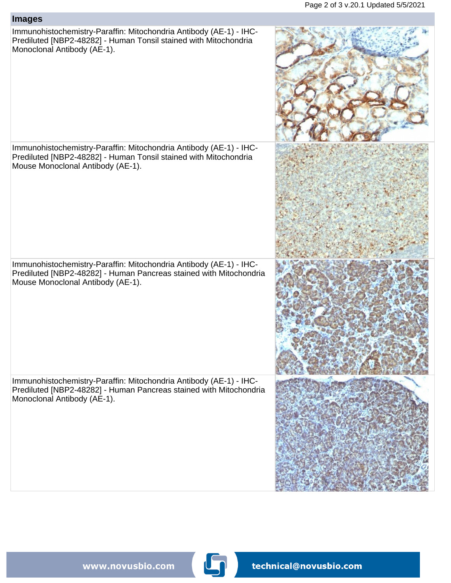

Immunohistochemistry-Paraffin: Mitochondria Antibody (AE-1) - IHC-Prediluted [NBP2-48282] - Human Tonsil stained with Mitochondria Monoclonal Antibody (AE-1).

Immunohistochemistry-Paraffin: Mitochondria Antibody (AE-1) - IHC-Prediluted [NBP2-48282] - Human Tonsil stained with Mitochondria Mouse Monoclonal Antibody (AE-1).

Immunohistochemistry-Paraffin: Mitochondria Antibody (AE-1) - IHC-Prediluted [NBP2-48282] - Human Pancreas stained with Mitochondria Mouse Monoclonal Antibody (AE-1).

Immunohistochemistry-Paraffin: Mitochondria Antibody (AE-1) - IHC-Prediluted [NBP2-48282] - Human Pancreas stained with Mitochondria Monoclonal Antibody (AE-1).